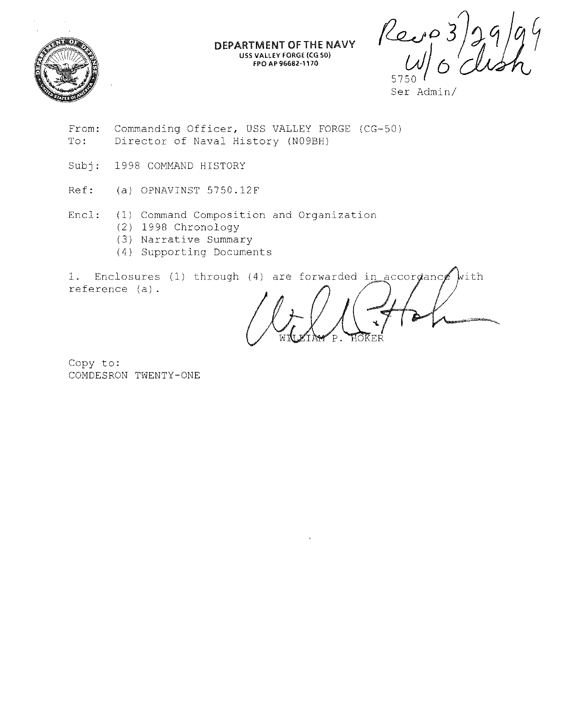

DEPARTMENT OF THE NAVY USS VALLEY FORGE {CG SO) FPO AP 96682-1170

 $\rho_{e,v}$ 3

Ser Admin/

- From: To: Commanding Officer, USS VALLEY FORGE (CG-50) Director of Naval History (N09BH)
- Subj: 1998 COMMAND HISTORY
- Ref: (a) OPNAVINST 5750.12F
- Encl: (1) Command Composition and Organization
	- (2) 1998 Chronology
	- (3) Narrative Summary
	- (4) Supporting Documents

1. Enclosures (1) through (4) are forwarded in accordance reference (a).  $\psi$ ith

Copy to: COMDESRON TWENTY-ONE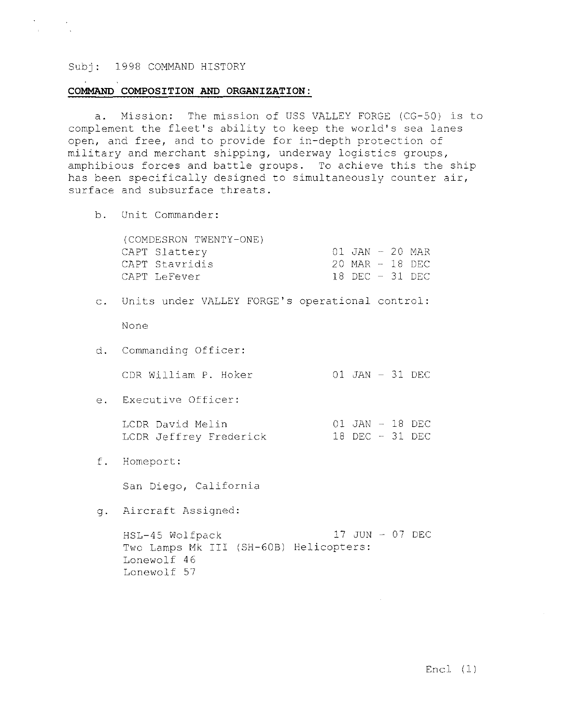#### COMMAND COMPOSITION AND ORGANIZATION:

a. Mission: The mission of USS VALLEY FORGE (CG-50) is to complement the fleet's ability to keep the world's sea lanes open, and free, and to provide for in-depth protection of military and merchant shipping, underway logistics groups, amphibious forces and battle groups. To achieve this the ship has been specifically designed to simultaneously counter air, surface and subsurface threats.

b. Unit Commander:

(COMDESRON TWENTY-ONE) CAPT Slattery CAPT Stavridis CAPT LeFever 01 JAN - 20 MAR 20 MAR - 18 DEC 18 DEC - 31 DEC

c. Units under VALLEY FORGE's operational control:

None

- d. Commanding Officer:
	- CDR William P. Hoker  $01$  JAN  $-$  31 DEC
- e. Executive Officer:

LCDR David Melin LCDR Jeffrey Frederick 01 JAN - 18 DEC 18 DEC - 31 DEC

f. Homeport:

San Diego, California

g. Aircraft Assigned:

HSL-45 Wolfpack 17 JUN - 07 DEC Two Lamps Mk III (SH-608) Helicopters: Lonewolf 46 Lonewolf 57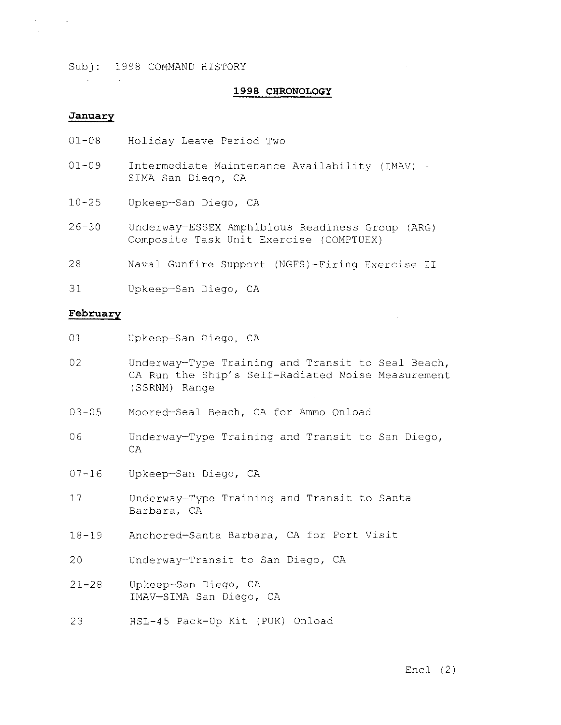#### 1998 CHRONOLOGY

## January

 $\mathcal{L}^{\mathcal{A}}$ 

 $\mathcal{R}$ 

- 01-08 Holiday Leave Period Two
- $01 09$ Intermediate Maintenance Availability (IMAV) - SIMA San Diego, CA
- $10 25$ Upkeep-San Diego, CA
- 26-30 Underway-ESSEX Amphibious Readiness Group (ARG) Composite Task Unit Exercise (COMPTUEX)
- 28 Naval Gunfire Support (NGFS)-Firing Exercise II
- 31 Upkeep-San Diego, CA

#### February

- 01 Upkeep-San Diego, CA
- 02 Underway-Type Training and Transit to Seal Beach, CA Run the Ship's Self-Radiated Noise Measurement (SSRNM) Range
- 03-05 Moored-Seal Beach, CA for Ammo Onload
- 06 Underway-Type Training and Transit to San Diego, CA
- $07 16$ Upkeep-San Diego, CA
- 17 Underway-Type Training and Transit to Santa Barbara, CA
- 18-19 Anchored-Santa Barbara, CA for Port Visit
- 20 Underway-Transit to San Diego, CA
- 21-28 Upkeep-San Diego, CA IMAV-SIMA San Diego, CA
- 23 HSL-45 Pack-Up Kit (PUK) Onload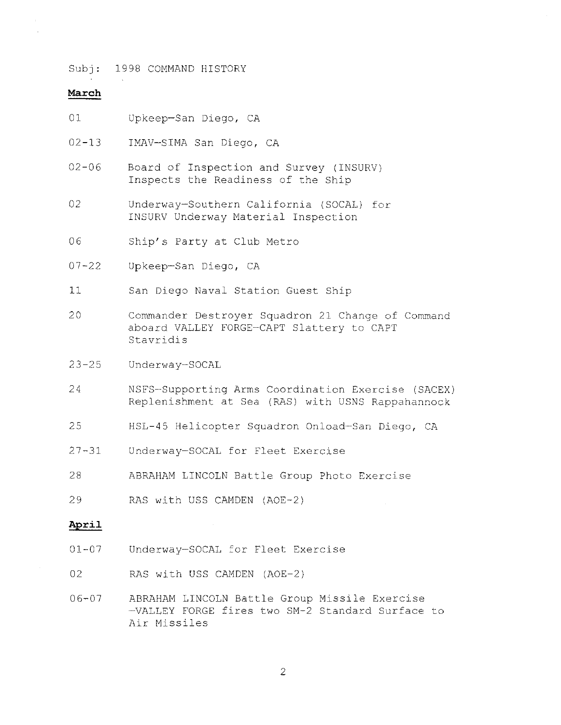#### **March**

- 01 Upkeep-San Diego, CA
- 02-13 IMAV-SIMA San Diego, CA
- $02 06$ Board of Inspection and Survey (INSURV) Inspects the Readiness of the Ship
- 02 Underway-Southern California (SOCAL) for INSURV Underway Material Inspection
- 06 Ship's Party at Club Metro
- 07-22 Upkeep-San Diego, CA
- 11 San Diego Naval Station Guest Ship
- 20 Commander Destroyer Squadron 21 Change of Command aboard VALLEY FORGE-CAPT Slattery to CAPT Stavridis
- $23 25$ Underway-SOCAL
- 24 NSFS-Supporting Arms Coordination Exercise (SACEX) Replenishment at Sea (RAS) with USNS Rappahannock
- 25 HSL-45 Helicopter Squadron Onload-San Diego, CA
- 27-31 Underway-SOCAL for Fleet Exercise
- 28 ABRAHAM LINCOLN Battle Group Photo Exercise
- 29 RAS with USS CAMDEN (AOE-2)

## **April**

- 01-07 Underway-SOCAL for Fleet Exercise
- 02 RAS with USS CAMDEN (AOE-2)
- 06-07 ABRAHAM LINCOLN Battle Group Missile Exercise -VALLEY FORGE fires two SM-2 Standard Surface to Air Missiles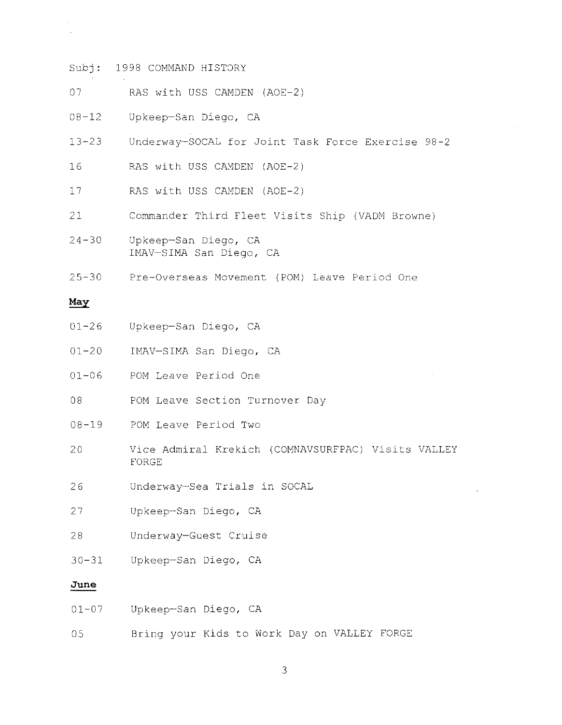- 07 RAS with USS CAMDEN (AOE-2)
- 08-12 Upkeep-San Diego, CA
- 13-23 Underway-SOCAL for Joint Task Force Exercise 98-2
- 16 RAS with USS CAMDEN (AOE-2)
- 17 RAS with USS CAMDEN (AOE-2)
- 21 Commander Third Fleet Visits Ship (VADM Browne)
- 24-30 Upkeep-San Diego, CA IMAV-SIMA San Diego, CA
- 25-30 Pre-Overseas Movement (POM) Leave Period One

#### May

- 01-26 Upkeep-San Diego, CA
- 01-20 IMAV-SIMA San Diego, CA
- $01 06$ POM Leave Period One
- 08 POM Leave Section Turnover Day
- 08-19 POM Leave Period Two
- 20 Vice Admiral Krekich (COMNAVSURFPAC) Visits VALLEY FORGE
- 26 Underway-Sea Trials in SOCAL
- 27 Upkeep-San Diego, CA
- 28 Underway-Guest Cruise
- 30-31 Upkeep-San Diego, CA

# **June**

| $01 - 07$ | Upkeep-San Diego, CA |  |
|-----------|----------------------|--|
|           |                      |  |

05 Bring your Kids to Work Day on VALLEY FORGE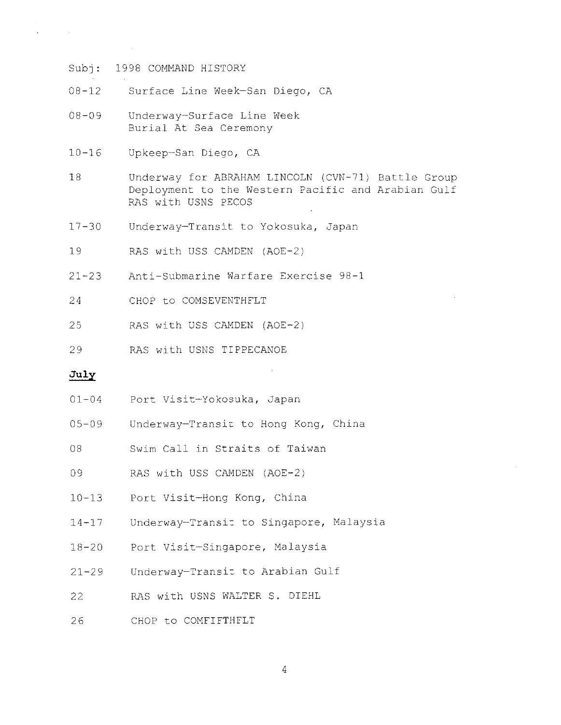- 08-12 Surface Line Week-San Diego, CA
- 08-09 Underway-Surface Line Week Burial At Sea Ceremony
- 10-16 Upkeep-San Diego, CA
- 18 Underway for ABRAHAM LINCOLN (CVN-71) Battle Group Deployment to the Western Pacific and Arabian Gulf RAS with USNS PECOS
- 17-30 Underway-Transit to Yokosuka, Japan
- 19 RAS with USS CAMDEN (AOE-2)
- 21-23 Anti-Submarine Warfare Exercise 98-1
- 24 CHOP to COMSEVENTHFLT
- 25 RAS with USS CAMDEN (AOE-2)
- 29 RAS with USNS TIPPECANOE

# July

 $\sim 10^6$ 

- 01-04 Port Visit-Yokosuka, Japan
- 05-09 Underway-Transic to Hong Kong, China
- 08 Swim Call in Straits of Taiwan
- 09 RAS with USS CAMDEN (AOE-2)
- 10-13 Port Visit-Hong Kong, China
- 14-17 Underway-Transic to Singapore, Malaysia
- 18-20 Port Visit-Singapore, Malaysia
- 21-29 Underway-Transit to Arabian Gulf
- 22 RAS with USNS WALTER S. DIEHL
- 26 CHOP to COMFIFTHFLT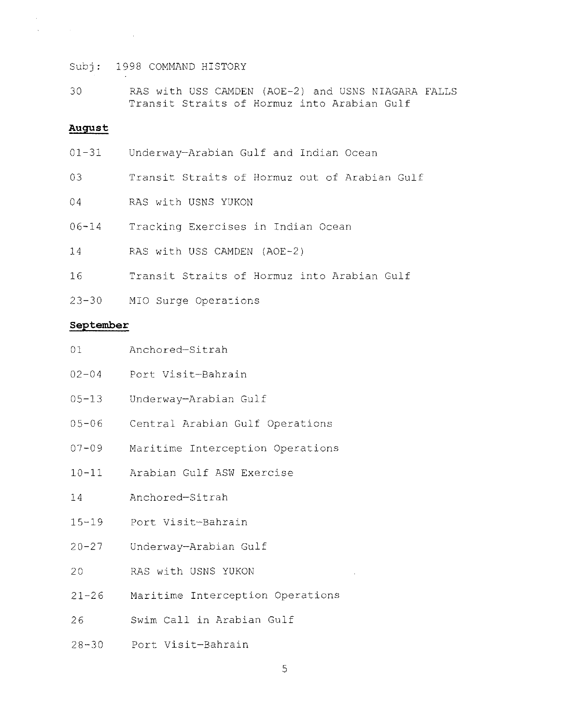30 RAS with USS CAMDEN (AOE-2) and USNS NIAGARA FALLS Transit Straits of Hormuz into Arabian Gulf

## **August**

- 01-31 Underway-Arabian Gulf and Indian Ocean
- 03 Transit Straits of Hormuz out of Arabian Gulf
- 04 RAS with USNS YUKON
- 06-14 Tracking Exercises in Indian Ocean
- 14 RAS with USS CAMDEN (AOE-2)
- 16 Transit Straits of Hormuz into Arabian Gulf
- 23-30 MIO Surge Operations

### **September**

| 01 | Anchored-Sitrah |
|----|-----------------|
|    |                 |

- 02-04 Port Visit-Bahrain
- 05-13 Underway-Arabian Gulf
- 05-06 Central Arabian Gulf Operations
- 07-09 Maritime Interception Operations
- 10-11 Arabian Gulf ASW Exercise
- 14 Anchored-Sitrah
- 15-19 Port Visit-Bahrain
- 20-27 Underway-Arabian Gulf
- 20 RAS with USNS YUKON
- 21-26 Maritime Interception Operations
- 26 Swim Call in Arabian Gulf
- 28-30 Port Visit-Bahrain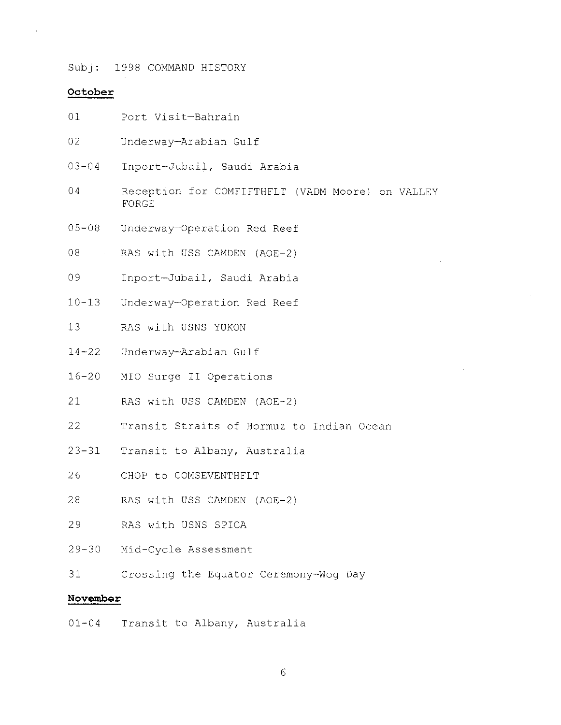#### **October**

- $01$ Port Visit-Bahrain
- 02 Underway-Arabian Gulf
- $03 04$ Inport-Jubail, Saudi Arabia
- 04 Reception for COMFIFTHFLT (VADM Moore) on VALLEY FORGE
- 05-08 Underway-Operation Red Reef
- 08 RAS with USS CAMDEN (AOE-2)
- 09 Inport-Jubail, Saudi Arabia
- $10 13$ Underway-Operation Red Reef
- 13 RAS with USNS YUKON
- 14-22 Underway-Arabian Gulf
- 16-20 MIO Surge II Operations
- 21 RAS with USS CAMDEN (AOE-2)
- 22 Transit Straits of Hormuz to Indian Ocean
- 23-31 Transit to Albany, Australia
- 26 CHOP to COMSEVENTHFLT
- 28 RAS with USS CAMDEN (AOE-2)
- 29 RAS with USNS SPICA
- 29-30 Mid-Cycle Assessment
- 31 Crossing the Equator Ceremony-Wog Day

## **November**

01-04 Transit to Albany, Australia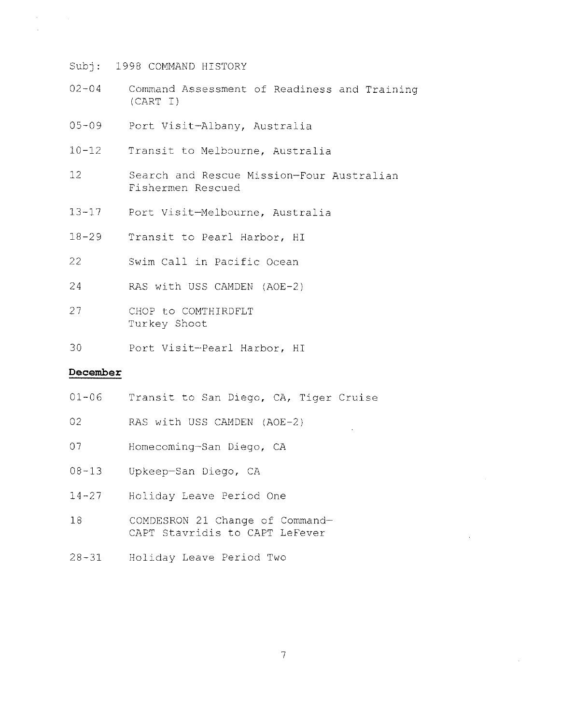- 02-04 Command Assessment of Readiness and Training (CART I)
- 05-09 Port Visit-Albany, Australia
- 10-12 Transit to Melbourne, Australia
- 12 Search and Rescue Mission-Four Australian Fishermen Rescued
- 13-17 Port Visit-Melbourne, Australia
- 18-29 Transit to Pearl Harbor, HI
- 22 Swim Call in Pacific Ocean
- 24 RAS with USS CAMDEN (AOE-2)
- 27 CHOP to COMTHIRDFLT Turkey Shoot
- 30 Port Visit-Pearl Harbor, HI

# **December**

 $\sim$ 

- 01-06 Transit to San Diego, CA, Tiger Cruise
- 02 RAS with USS CAMDEN (AOE-2)
- 07 Homecoming-San Diego, CA
- 08-13 Upkeep-San Diego, CA
- 14-27 Holiday Leave Period One
- 18 COMDESRON 21 Change of Command-CAPT Stavridis to CAPT LeFever
- 28-31 Holiday Leave Period Two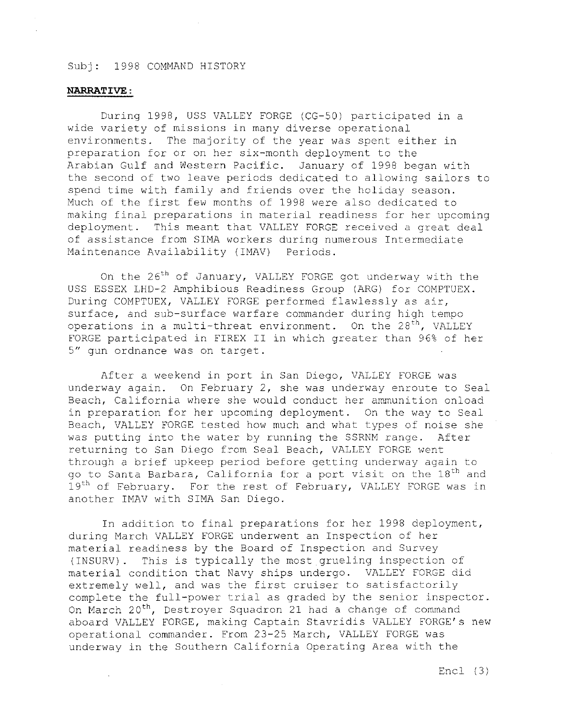## **NARRATIVE:**

During 1998, USS VALLEY FORGE (CG-50) participated in a wide variety of missions in many diverse operational environments. The majority of the year was spent either in preparation for or on her six-month deployment to the<br>Arabian Gulf and Western Pacific. January of 1998 began with Arabian Gulf and Western Pacific. the second of two leave periods dedicated to allowing sailors to spend time with family and friends over the holiday season. Much of the first few months of 1998 were also dedicated to making final preparations in material readiness for her upcoming deployment. This meant that VALLEY FORGE received a great deal of assistance from SIMA workers during numerous Intermediate Maintenance Availability (IMAV) Periods.

On the  $26<sup>th</sup>$  of January, VALLEY FORGE got underway with the USS ESSEX LHD-2 Amphibious Readiness Group (ARG) for COMPTUEX. During COMPTUEX, VALLEY FORGE performed flawlessly as air, surface, and sub-surface warfare commander during high tempo operations in a multi-threat environment. On the  $28<sup>th</sup>$ , VALLEY FORGE participated in FIREX II in which greater than 96% of her 5" gun ordnance was on target.

After a weekend in port in San Diego, VALLEY FORGE was underway again. On February 2, she was underway enroute to Seal Beach, California where she would conduct her ammunition onload in preparation for her upcoming deployment. On the way to Seal Beach, VALLEY FORGE tested how much and what types of noise she was putting into the water by running the SSRNM range. After returning to San Diego from Seal Beach, VALLEY FORGE went through a brief upkeep period before getting underway again to go to Santa Barbara, California for a port visit on the 18<sup>th</sup> and 19<sup>th</sup> of February. For the rest of February, VALLEY FORGE was in another IMAV with SIMA San Diego.

In addition to final preparations for her 1998 deployment, during March VALLEY FORGE underwent an Inspection of her material readiness by the Board of Inspection and Survey (INSURV). This is typically the most grueling inspection of material condition that Navy ships undergo. VALLEY FORGE did extremely well, and was the first cruiser to satisfactorily complete the full-power trial as graded by the senior inspector. On March 20<sup>th</sup>, Destroyer Squadron 21 had a change of command aboard VALLEY FORGE, making Captain Stavridis VALLEY FORGE's new operational commander. From 23-25 March, VALLEY FORGE was underway in the Southern California Operating Area with the

Encl (3)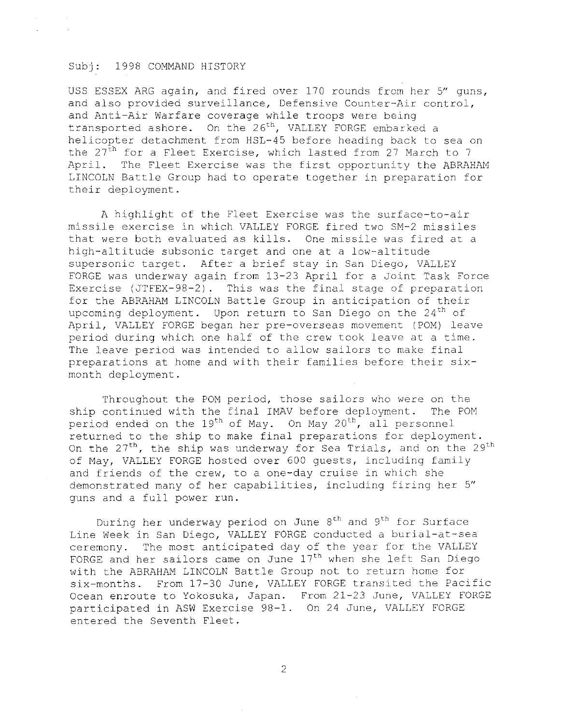USS ESSEX ARG again, and fired over 170 rounds from her 5" guns, and also provided surveillance, Defensive Counter-Air control, and Anti-Air Warfare coverage while troops were being transported ashore. On the 26<sup>th</sup>, VALLEY FORGE embarked a helicopter detachment from HSL-45 before heading back to sea on the  $27<sup>th</sup>$  for a Fleet Exercise, which lasted from 27 March to 7 April. The Fleet Exercise was the first opportunity the ABRAHAM LINCOLN Battle Group had to operate together in preparation for their deployment.

A highlight of the Fleet Exercise was the surface-to-air missile exercise in which VALLEY FORGE fired two SM-2 missiles that were both evaluated as kills. One missile was fired at a high-altitude subsonic target and one at a low-altitude supersonic target. After a brief stay in San Diego, VALLEY FORGE was underway again from 13-23 April for a Joint Task Force Exercise (JTFEX-98-2). This was the final stage of preparation for the ABRAHAM LINCOLN Battle Group in anticipation of their upcoming deployment. Upon return to San Diego on the  $24<sup>th</sup>$  of April, VALLEY FORGE began her pre-overseas movement (POM) leave period during which one half of the crew took leave at a time. The leave period was intended to allow sailors to make final preparations at home and with their families before their sixmonth deployment.

Throughout the POM period, those sailors who were on the ship continued with the final IMAV before deployment. The POM period ended on the 19<sup>th</sup> of May. On May 20<sup>th</sup>, all personnel returned to the ship to make final preparations for deployment. On the  $27<sup>th</sup>$ , the ship was underway for Sea Trials, and on the  $29<sup>th</sup>$ of May, VALLEY FORGE hosted over 600 guests, including family and friends of the crew, to a one-day cruise in which she demonstrated many of her capabilities, including firing her 5" guns and a full power run.

During her underway period on June  $8<sup>th</sup>$  and  $9<sup>th</sup>$  for Surface Line week in San Diego, VALLEY FORGE conducted a burial-at-sea ceremony. The most anticipated day of the year for the VALLEY FORGE and her sailors came on June 17<sup>th</sup> when she left San Diego with the ABRAHAM LINCOLN Battle Group not to return home for six-months. From 17-30 June, VALLEY FORGE transited the Pacific Ocean enroute to Yokosuka, Japan. From 21-23 June, VALLEY FORGE participated in ASW Exercise 98-1. On 24 June, VALLEY FORGE entered the Seventh Fleet.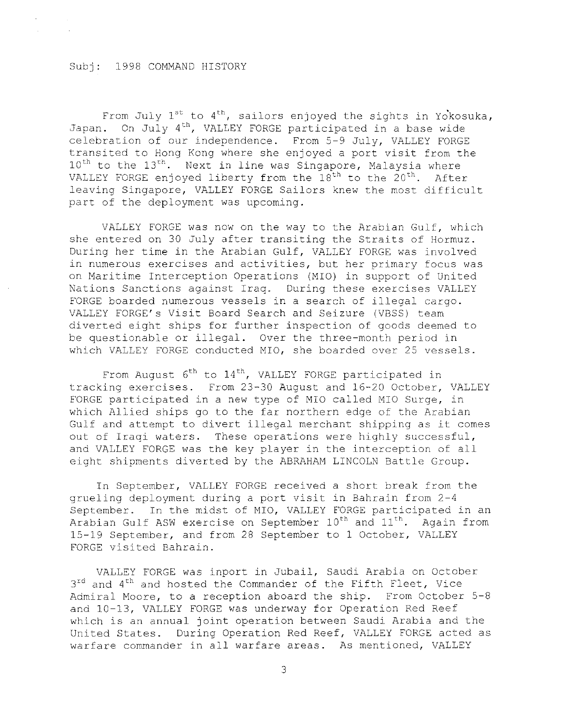From July  $1^{st}$  to  $4^{th}$ , sailors enjoyed the sights in Yokosuka, Japan. On July 4th, VALLEY FORGE participated in a base wide celebration of our independence. From 5-9 July, VALLEY FORGE transited to Hong Kong where she enjoyed a port visit from the  $10^{\text{th}}$  to the  $13^{\text{th}}$ . Next in line was Singapore, Malaysia where VALLEY FORGE enjoyed liberty from the  $18^{th}$  to the  $20^{th}$ . After leaving Singapore, VALLEY FORGE Sailors knew the most difficult part of the deployment was upcoming.

VALLEY FORGE was now on the way to the Arabian Gulf, which she entered on 30 July after transiting the Straits of Hormuz. During her time in the Arabian Gulf, VALLEY FORGE was involved in numerous exercises and activities, but her primary focus was on Maritime Interception Operations (MIO) in support of United Nations Sanctions against Iraq. During these exercises VALLEY FORGE boarded numerous vessels in a search of illegal cargo. VALLEY FORGE's Visit Board Search and Seizure (VBSS) team diverted eight ships for further inspection of goods deemed to be questionable or illegal. Over the three-month period in which VALLEY FORGE conducted MIO, she boarded over 25 vessels.

From August  $6^{th}$  to  $14^{th}$ , VALLEY FORGE participated in tracking exercises. From 23-30 August and 16-20 October, VALLEY FORGE participated in a new type of MIO called MIO Surge, in which Allied ships go to the far northern edge of the Arabian Gulf and attempt to divert illegal merchant shipping as it comes out of Iraqi waters. These operations were highly successful, and VALLEY FORGE was the key player in the interception of all eight shipments diverted by the ABRAHAM LINCOLN Battle Group.

In September, VALLEY FORGE received a short break from the grueling deployment during a port visit in Bahrain from 2-4 September. In the midst of MIO, VALLEY FORGE participated in an Arabian Gulf ASW exercise on September 10<sup>th</sup> and 11<sup>th</sup>. Again from 15-19 September, and from 28 September to 1 October, VALLEY FORGE visited Bahrain.

VALLEY FORGE was inport in Jubai1, Saudi Arabia on October  $3^{rd}$  and  $4^{th}$  and hosted the Commander of the Fifth Fleet, Vice Admiral Moore, to a reception aboard the ship. From October 5-8 and 10-13, VALLEY FORGE was underway for Operation Red Reef which is an annual joint operation between Saudi Arabia and the United States. During Operation Red Reef, VALLEY FORGE acted as warfare commander in all warfare areas. As mentioned, VALLEY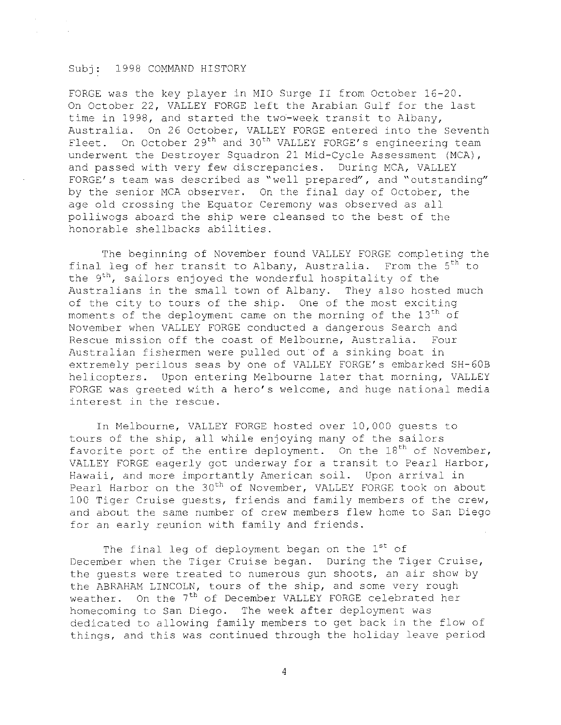FORGE was the key player in MIO Surge II from October 16-20. On October 22, VALLEY FORGE left the Arabian Gulf for the last time in 1998, and started the two-week transit to Albany, Australia. On 26 October, VALLEY FORGE entered into the Seventh Fleet. On October  $29<sup>th</sup>$  and  $30<sup>th</sup>$  VALLEY FORGE's engineering team underwent the Destroyer Squadron 21 Mid-Cycle Assessment (MCA), and passed with very few discrepancies. During MCA, VALLEY FORGE' s team was described as "well prepared", and "outstanding" by the senior MCA observer. On the final day of October, the age old crossing the Equator Ceremony was observed as all polliwogs aboard the ship were cleansed to the best of the honorable shellbacks abilities.

The beginning of November found VALLEY FORGE completing the final leg of her transit to Albany, Australia. From the  $5<sup>th</sup>$  to the 9<sup>th</sup>, sailors enjoyed the wonderful hospitality of the Australians in the small town of Albany. They also hosted much of the city to tours of the ship. One of the most exciting moments of the deployment came on the morning of the  $13<sup>th</sup>$  of November when VALLEY FORGE conducted a dangerous Search and Rescue mission off the coast of Melbourne, Australia. Four Australian fishermen were pulled out of a sinking boat in extremely perilous seas by one of VALLEY FORGE's embarked SH-60B helicopters. Upon entering Melbourne later that morning, VALLEY FORGE was greeted with a hero's welcome, and huge national media interest in the rescue.

In Melbourne, VALLEY FORGE hosted over 10,000 guests to tours of the ship, all while enjoying many of the sailors favorite port of the entire deployment. On the  $18<sup>th</sup>$  of November, VALLEY FORGE eagerly got underway for a transit to Pearl Harbor, Hawaii, and more importantly American soil. Upon arrival in Pearl Harbor on the 30<sup>th</sup> of November, VALLEY FORGE took on about 100 Tiger Cruise guests, friends and family members of the crew, and about the same number of crew members flew home to San Diego for an early reunion with family and friends.

The final leg of deployment began on the 1st of December when the Tiger Cruise began. During the Tiger Cruise, the guests were treated to numerous gun shoots, an air show by the ABRAHAM LINCOLN, tours of the ship, and some very rough weather. On the 7<sup>th</sup> of December VALLEY FORGE celebrated her homecoming to San Diego. The week after deployment was dedicated to allowing family members to get back in the flow of things, and this was continued through the holiday leave period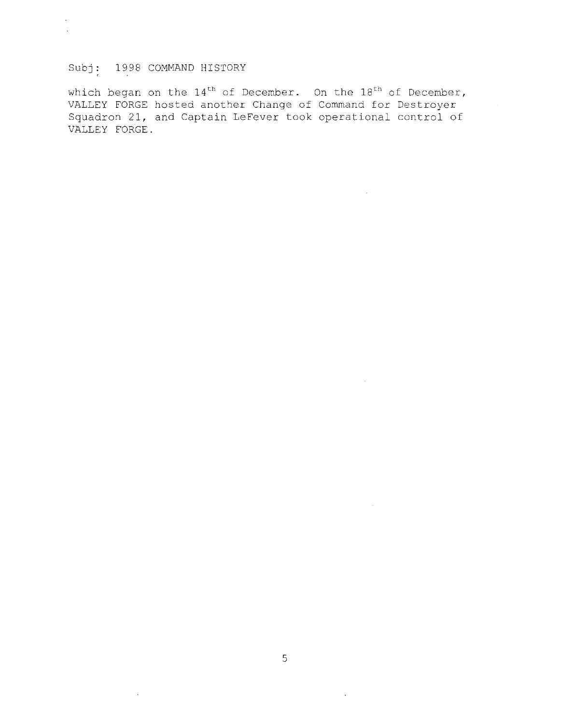which began on the  $14^\mathrm{th}$  of December. On the  $18^\mathrm{th}$  of December, VALLEY FORGE hosted another Change of Command for Destroyer Squadron 21, and Captain LeFever took operational control of VALLEY FORGE.